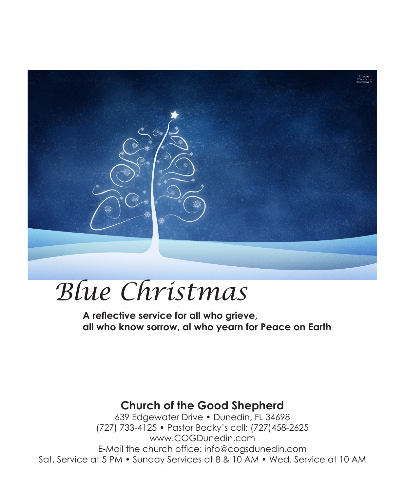

# *Blue Christmas*

**A reflective service for all who grieve, all who know sorrow, al who yearn for Peace on Earth**

# **Church of the Good Shepherd**

639 Edgewater Drive • Dunedin, FL 34698 (727) 733-4125 • Pastor Becky's cell: (727)458-2625 www.COGDunedin.com E-Mail the church office: info@cogsdunedin.com Sat. Service at 5 PM • Sunday Services at 8 & 10 AM • Wed. Service at 10 AM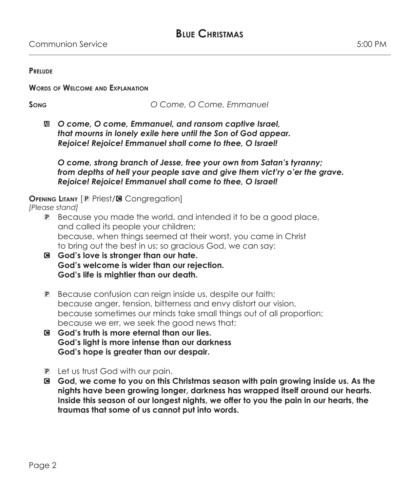#### **Prelude**

#### **Words of Welcome and Explanation**

**Song** *O Come, O Come, Emmanuel*

a *O come, O come, Emmanuel, and ransom captive Israel, that mourns in lonely exile here until the Son of God appear. Rejoice! Rejoice! Emmanuel shall come to thee, O Israel!*

 *O come, strong branch of Jesse, free your own from Satan's tyranny; from depths of hell your people save and give them vict'ry o'er the grave. Rejoice! Rejoice! Emmanuel shall come to thee, O Israel!*

#### **OPENING LITANY** [P Priest/**G** Congregation]

*[Please stand]*

- P Because you made the world, and intended it to be a good place, and called its people your children; because, when things seemed at their worst, you came in Christ to bring out the best in us; so gracious God, we can say:
- C **God's love is stronger than our hate. God's welcome is wider than our rejection. God's life is mightier than our death.**
- P Because confusion can reign inside us, despite our faith; because anger, tension, bitterness and envy distort our vision, because sometimes our minds take small things out of all proportion; because we err, we seek the good news that:
- C **God's truth is more eternal than our lies. God's light is more intense than our darkness God's hope is greater than our despair.**
- P Let us trust God with our pain.
- C **God, we come to you on this Christmas season with pain growing inside us. As the nights have been growing longer, darkness has wrapped itself around our hearts. Inside this season of our longest nights, we offer to you the pain in our hearts, the traumas that some of us cannot put into words.**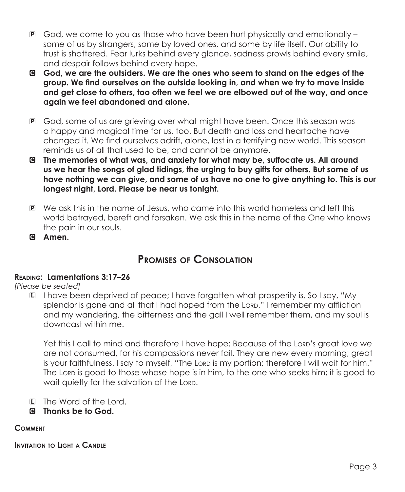- P God, we come to you as those who have been hurt physically and emotionally some of us by strangers, some by loved ones, and some by life itself. Our ability to trust is shattered. Fear lurks behind every glance, sadness prowls behind every smile, and despair follows behind every hope.
- C **God, we are the outsiders. We are the ones who seem to stand on the edges of the group. We find ourselves on the outside looking in, and when we try to move inside and get close to others, too often we feel we are elbowed out of the way, and once again we feel abandoned and alone.**
- P God, some of us are grieving over what might have been. Once this season was a happy and magical time for us, too. But death and loss and heartache have changed it. We find ourselves adrift, alone, lost in a terrifying new world. This season reminds us of all that used to be, and cannot be anymore.
- C **The memories of what was, and anxiety for what may be, suffocate us. All around us we hear the songs of glad tidings, the urging to buy gifts for others. But some of us have nothing we can give, and some of us have no one to give anything to. This is our longest night, Lord. Please be near us tonight.**
- P We ask this in the name of Jesus, who came into this world homeless and left this world betrayed, bereft and forsaken. We ask this in the name of the One who knows the pain in our souls.
- C **Amen.**

# **Promises of Consolation**

# **Reading: Lamentations 3:17–26**

*[Please be seated]*

L I have been deprived of peace; I have forgotten what prosperity is. So I say, "My splendor is gone and all that I had hoped from the Lorp." I remember my affliction and my wandering, the bitterness and the gall I well remember them, and my soul is downcast within me.

Yet this I call to mind and therefore I have hope: Because of the Lorp's great love we are not consumed, for his compassions never fail. They are new every morning; great is your faithfulness. I say to myself, "The Lord is my portion; therefore I will wait for him." The Lord is good to those whose hope is in him, to the one who seeks him; it is good to wait quietly for the salvation of the Lord.

- L The Word of the Lord.
- C **Thanks be to God.**

# **Comment**

**Invitation to Light a Candle**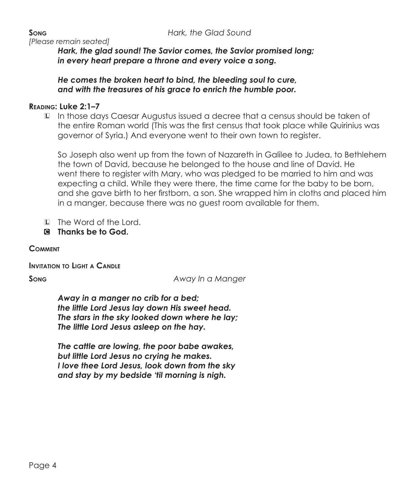*[Please remain seated]*

 *Hark, the glad sound! The Savior comes, the Savior promised long; in every heart prepare a throne and every voice a song.*

 *He comes the broken heart to bind, the bleeding soul to cure, and with the treasures of his grace to enrich the humble poor.*

### **Reading: Luke 2:1–7**

L In those days Caesar Augustus issued a decree that a census should be taken of the entire Roman world (This was the first census that took place while Quirinius was governor of Syria.) And everyone went to their own town to register.

 So Joseph also went up from the town of Nazareth in Galilee to Judea, to Bethlehem the town of David, because he belonged to the house and line of David. He went there to register with Mary, who was pledged to be married to him and was expecting a child. While they were there, the time came for the baby to be born, and she gave birth to her firstborn, a son. She wrapped him in cloths and placed him in a manger, because there was no guest room available for them.

- L The Word of the Lord.
- C **Thanks be to God.**

**Comment**

**Invitation to Light a Candle**

**Song** *Away In a Manger*

 *Away in a manger no crib for a bed; the little Lord Jesus lay down His sweet head. The stars in the sky looked down where he lay; The little Lord Jesus asleep on the hay.*

 *The cattle are lowing, the poor babe awakes, but little Lord Jesus no crying he makes. I love thee Lord Jesus, look down from the sky and stay by my bedside 'til morning is nigh.*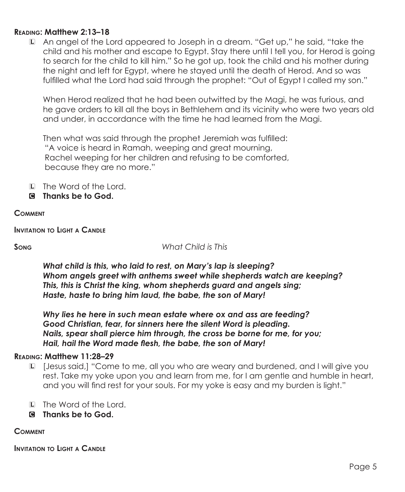## **Reading: Matthew 2:13–18**

L An angel of the Lord appeared to Joseph in a dream. "Get up," he said, "take the child and his mother and escape to Egypt. Stay there until I tell you, for Herod is going to search for the child to kill him." So he got up, took the child and his mother during the night and left for Egypt, where he stayed until the death of Herod. And so was fulfilled what the Lord had said through the prophet: "Out of Egypt I called my son."

 When Herod realized that he had been outwitted by the Magi, he was furious, and he gave orders to kill all the boys in Bethlehem and its vicinity who were two years old and under, in accordance with the time he had learned from the Magi.

Then what was said through the prophet Jeremiah was fulfilled: "A voice is heard in Ramah, weeping and great mourning, Rachel weeping for her children and refusing to be comforted, because they are no more."

- L The Word of the Lord.
- C **Thanks be to God.**

#### **Comment**

**Invitation to Light a Candle**

**Song** *What Child is This*

 *What child is this, who laid to rest, on Mary's lap is sleeping? Whom angels greet with anthems sweet while shepherds watch are keeping? This, this is Christ the king, whom shepherds guard and angels sing; Haste, haste to bring him laud, the babe, the son of Mary!*

 *Why lies he here in such mean estate where ox and ass are feeding? Good Christian, fear, for sinners here the silent Word is pleading. Nails, spear shall pierce him through, the cross be borne for me, for you; Hail, hail the Word made flesh, the babe, the son of Mary!*

#### **Reading: Matthew 11:28–29**

- L [Jesus said,] "Come to me, all you who are weary and burdened, and I will give you rest. Take my yoke upon you and learn from me, for I am gentle and humble in heart, and you will find rest for your souls. For my yoke is easy and my burden is light."
- L The Word of the Lord.
- C **Thanks be to God.**

#### **Comment**

**Invitation to Light a Candle**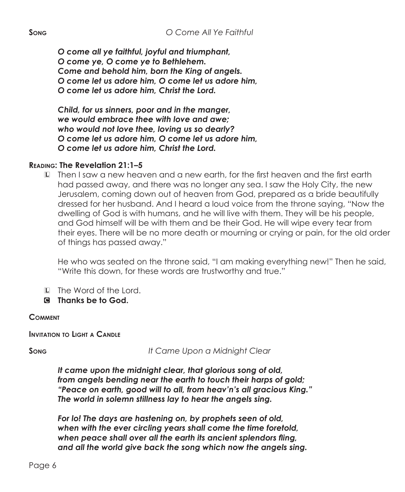*O come all ye faithful, joyful and triumphant, O come ye, O come ye to Bethlehem. Come and behold him, born the King of angels. O come let us adore him, O come let us adore him, O come let us adore him, Christ the Lord.*

 *Child, for us sinners, poor and in the manger, we would embrace thee with love and awe; who would not love thee, loving us so dearly? O come let us adore him, O come let us adore him, O come let us adore him, Christ the Lord.*

### **Reading: The Revelation 21:1–5**

L Then I saw a new heaven and a new earth, for the first heaven and the first earth had passed away, and there was no longer any sea. I saw the Holy City, the new Jerusalem, coming down out of heaven from God, prepared as a bride beautifully dressed for her husband. And I heard a loud voice from the throne saying, "Now the dwelling of God is with humans, and he will live with them. They will be his people, and God himself will be with them and be their God. He will wipe every tear from their eyes. There will be no more death or mourning or crying or pain, for the old order of things has passed away."

He who was seated on the throne said, "I am making everything new!" Then he said, "Write this down, for these words are trustworthy and true."

- L The Word of the Lord.
- C **Thanks be to God.**

#### **Comment**

**Invitation to Light a Candle**

**Song** *It Came Upon a Midnight Clear*

 *It came upon the midnight clear, that glorious song of old, from angels bending near the earth to touch their harps of gold; "Peace on earth, good will to all, from heav'n's all gracious King." The world in solemn stillness lay to hear the angels sing.*

 *For lo! The days are hastening on, by prophets seen of old, when with the ever circling years shall come the time foretold, when peace shall over all the earth its ancient splendors fling, and all the world give back the song which now the angels sing.*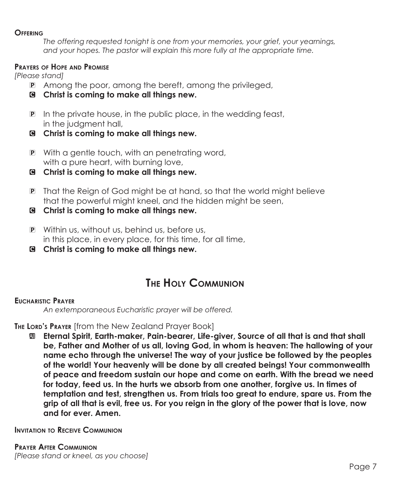#### **Offering**

 *The offering requested tonight is one from your memories, your grief, your yearnings, and your hopes. The pastor will explain this more fully at the appropriate time.*

#### **Prayers of Hope and Promise**

*[Please stand]*

- P Among the poor, among the bereft, among the privileged,
- C **Christ is coming to make all things new.**
- P In the private house, in the public place, in the wedding feast, in the judgment hall,
- C **Christ is coming to make all things new.**
- P With a gentle touch, with an penetrating word, with a pure heart, with burning love,
- C **Christ is coming to make all things new.**
- P That the Reign of God might be at hand, so that the world might believe that the powerful might kneel, and the hidden might be seen,
- C **Christ is coming to make all things new.**
- P Within us, without us, behind us, before us, in this place, in every place, for this time, for all time,
- C **Christ is coming to make all things new.**

# **The Holy Communion**

## **Eucharistic Prayer**

 *An extemporaneous Eucharistic prayer will be offered.*

## **The Lord's Prayer** [from the New Zealand Prayer Book]

a **Eternal Spirit, Earth-maker, Pain-bearer, Life-giver, Source of all that is and that shall be, Father and Mother of us all, loving God, in whom is heaven: The hallowing of your name echo through the universe! The way of your justice be followed by the peoples of the world! Your heavenly will be done by all created beings! Your commonwealth of peace and freedom sustain our hope and come on earth. With the bread we need for today, feed us. In the hurts we absorb from one another, forgive us. In times of temptation and test, strengthen us. From trials too great to endure, spare us. From the grip of all that is evil, free us. For you reign in the glory of the power that is love, now and for ever. Amen.**

**Invitation to Receive Communion**

**Prayer After Communion** *[Please stand or kneel, as you choose]*